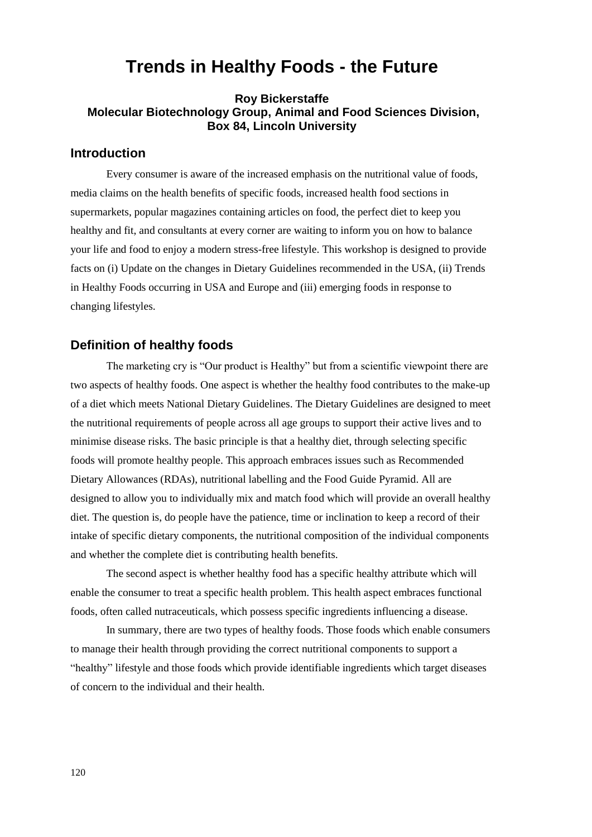# **Trends in Healthy Foods - the Future**

# **Roy Bickerstaffe Molecular Biotechnology Group, Animal and Food Sciences Division, Box 84, Lincoln University**

# **Introduction**

Every consumer is aware of the increased emphasis on the nutritional value of foods, media claims on the health benefits of specific foods, increased health food sections in supermarkets, popular magazines containing articles on food, the perfect diet to keep you healthy and fit, and consultants at every corner are waiting to inform you on how to balance your life and food to enjoy a modern stress-free lifestyle. This workshop is designed to provide facts on (i) Update on the changes in Dietary Guidelines recommended in the USA, (ii) Trends in Healthy Foods occurring in USA and Europe and (iii) emerging foods in response to changing lifestyles.

# **Definition of healthy foods**

The marketing cry is "Our product is Healthy" but from a scientific viewpoint there are two aspects of healthy foods. One aspect is whether the healthy food contributes to the make-up of a diet which meets National Dietary Guidelines. The Dietary Guidelines are designed to meet the nutritional requirements of people across all age groups to support their active lives and to minimise disease risks. The basic principle is that a healthy diet, through selecting specific foods will promote healthy people. This approach embraces issues such as Recommended Dietary Allowances (RDAs), nutritional labelling and the Food Guide Pyramid. All are designed to allow you to individually mix and match food which will provide an overall healthy diet. The question is, do people have the patience, time or inclination to keep a record of their intake of specific dietary components, the nutritional composition of the individual components and whether the complete diet is contributing health benefits.

The second aspect is whether healthy food has a specific healthy attribute which will enable the consumer to treat a specific health problem. This health aspect embraces functional foods, often called nutraceuticals, which possess specific ingredients influencing a disease.

In summary, there are two types of healthy foods. Those foods which enable consumers to manage their health through providing the correct nutritional components to support a "healthy" lifestyle and those foods which provide identifiable ingredients which target diseases of concern to the individual and their health.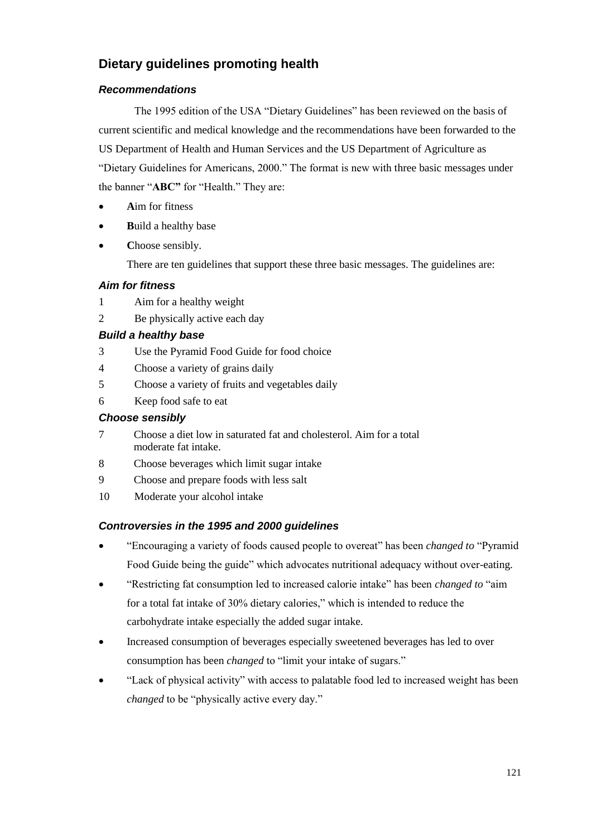# **Dietary guidelines promoting health**

# *Recommendations*

The 1995 edition of the USA "Dietary Guidelines" has been reviewed on the basis of current scientific and medical knowledge and the recommendations have been forwarded to the US Department of Health and Human Services and the US Department of Agriculture as "Dietary Guidelines for Americans, 2000." The format is new with three basic messages under the banner "**ABC"** for "Health." They are:

- **A**im for fitness
- **B**uild a healthy base
- Choose sensibly.

There are ten guidelines that support these three basic messages. The guidelines are:

# *Aim for fitness*

- 1 Aim for a healthy weight
- 2 Be physically active each day

# *Build a healthy base*

- 3 Use the Pyramid Food Guide for food choice
- 4 Choose a variety of grains daily
- 5 Choose a variety of fruits and vegetables daily
- 6 Keep food safe to eat

### *Choose sensibly*

- 7 Choose a diet low in saturated fat and cholesterol. Aim for a total moderate fat intake.
- 8 Choose beverages which limit sugar intake
- 9 Choose and prepare foods with less salt
- 10 Moderate your alcohol intake

# *Controversies in the 1995 and 2000 guidelines*

- "Encouraging a variety of foods caused people to overeat" has been *changed to* "Pyramid Food Guide being the guide" which advocates nutritional adequacy without over-eating.
- "Restricting fat consumption led to increased calorie intake" has been *changed to* "aim for a total fat intake of 30% dietary calories," which is intended to reduce the carbohydrate intake especially the added sugar intake.
- Increased consumption of beverages especially sweetened beverages has led to over consumption has been *changed* to "limit your intake of sugars."
- "Lack of physical activity" with access to palatable food led to increased weight has been *changed* to be "physically active every day."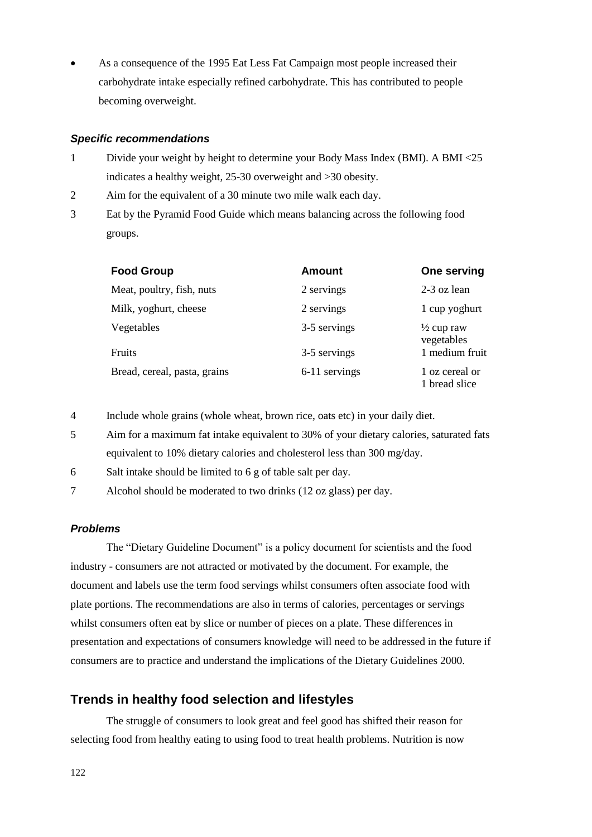As a consequence of the 1995 Eat Less Fat Campaign most people increased their carbohydrate intake especially refined carbohydrate. This has contributed to people becoming overweight.

#### *Specific recommendations*

- 1 Divide your weight by height to determine your Body Mass Index (BMI). A BMI <25 indicates a healthy weight, 25-30 overweight and >30 obesity.
- 2 Aim for the equivalent of a 30 minute two mile walk each day.
- 3 Eat by the Pyramid Food Guide which means balancing across the following food groups.

| <b>Food Group</b>            | Amount        | One serving                         |
|------------------------------|---------------|-------------------------------------|
| Meat, poultry, fish, nuts    | 2 servings    | $2-3$ oz lean                       |
| Milk, yoghurt, cheese        | 2 servings    | 1 cup yoghurt                       |
| Vegetables                   | 3-5 servings  | $\frac{1}{2}$ cup raw<br>vegetables |
| <b>Fruits</b>                | 3-5 servings  | 1 medium fruit                      |
| Bread, cereal, pasta, grains | 6-11 servings | 1 oz cereal or<br>1 bread slice     |

4 Include whole grains (whole wheat, brown rice, oats etc) in your daily diet.

- 5 Aim for a maximum fat intake equivalent to 30% of your dietary calories, saturated fats equivalent to 10% dietary calories and cholesterol less than 300 mg/day.
- 6 Salt intake should be limited to 6 g of table salt per day.
- 7 Alcohol should be moderated to two drinks (12 oz glass) per day.

#### *Problems*

The "Dietary Guideline Document" is a policy document for scientists and the food industry - consumers are not attracted or motivated by the document. For example, the document and labels use the term food servings whilst consumers often associate food with plate portions. The recommendations are also in terms of calories, percentages or servings whilst consumers often eat by slice or number of pieces on a plate. These differences in presentation and expectations of consumers knowledge will need to be addressed in the future if consumers are to practice and understand the implications of the Dietary Guidelines 2000.

# **Trends in healthy food selection and lifestyles**

The struggle of consumers to look great and feel good has shifted their reason for selecting food from healthy eating to using food to treat health problems. Nutrition is now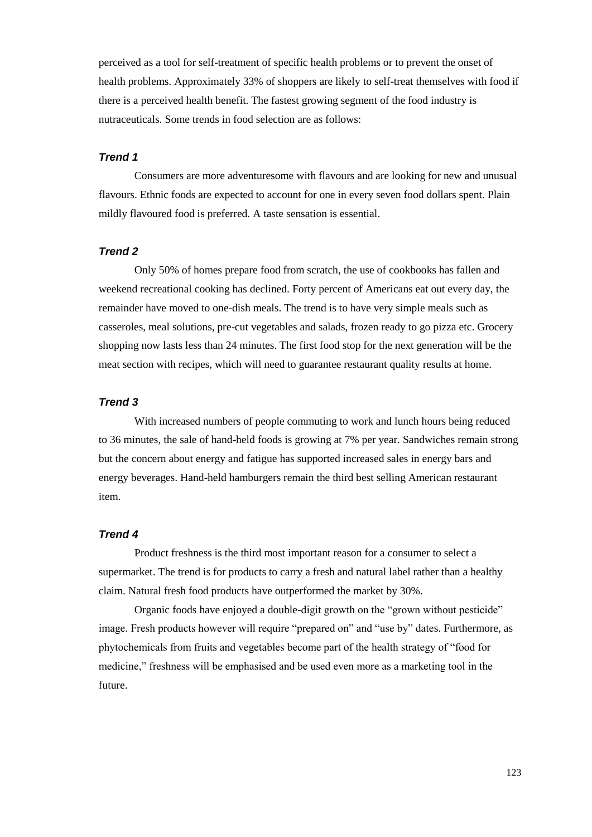perceived as a tool for self-treatment of specific health problems or to prevent the onset of health problems. Approximately 33% of shoppers are likely to self-treat themselves with food if there is a perceived health benefit. The fastest growing segment of the food industry is nutraceuticals. Some trends in food selection are as follows:

#### *Trend 1*

Consumers are more adventuresome with flavours and are looking for new and unusual flavours. Ethnic foods are expected to account for one in every seven food dollars spent. Plain mildly flavoured food is preferred. A taste sensation is essential.

#### *Trend 2*

Only 50% of homes prepare food from scratch, the use of cookbooks has fallen and weekend recreational cooking has declined. Forty percent of Americans eat out every day, the remainder have moved to one-dish meals. The trend is to have very simple meals such as casseroles, meal solutions, pre-cut vegetables and salads, frozen ready to go pizza etc. Grocery shopping now lasts less than 24 minutes. The first food stop for the next generation will be the meat section with recipes, which will need to guarantee restaurant quality results at home.

#### *Trend 3*

With increased numbers of people commuting to work and lunch hours being reduced to 36 minutes, the sale of hand-held foods is growing at 7% per year. Sandwiches remain strong but the concern about energy and fatigue has supported increased sales in energy bars and energy beverages. Hand-held hamburgers remain the third best selling American restaurant item.

#### *Trend 4*

Product freshness is the third most important reason for a consumer to select a supermarket. The trend is for products to carry a fresh and natural label rather than a healthy claim. Natural fresh food products have outperformed the market by 30%.

Organic foods have enjoyed a double-digit growth on the "grown without pesticide" image. Fresh products however will require "prepared on" and "use by" dates. Furthermore, as phytochemicals from fruits and vegetables become part of the health strategy of "food for medicine," freshness will be emphasised and be used even more as a marketing tool in the future.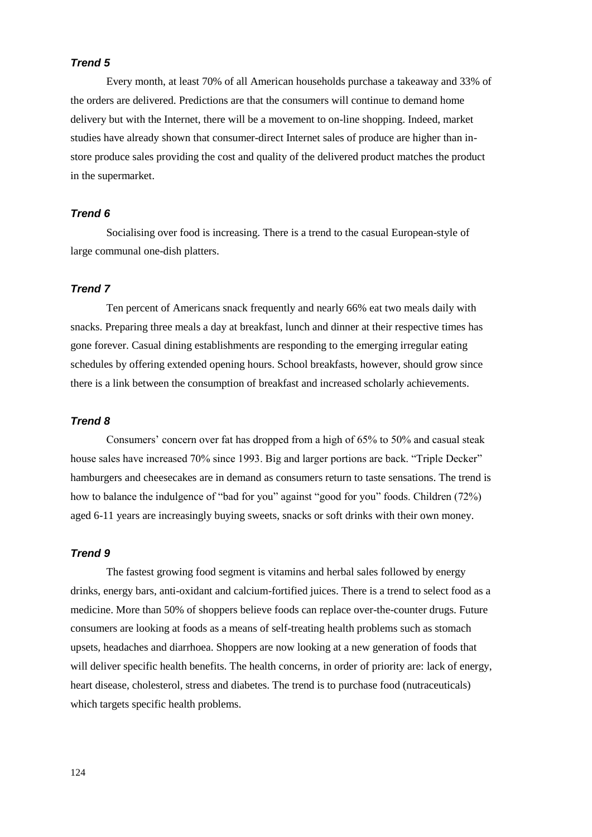#### *Trend 5*

Every month, at least 70% of all American households purchase a takeaway and 33% of the orders are delivered. Predictions are that the consumers will continue to demand home delivery but with the Internet, there will be a movement to on-line shopping. Indeed, market studies have already shown that consumer-direct Internet sales of produce are higher than instore produce sales providing the cost and quality of the delivered product matches the product in the supermarket.

#### *Trend 6*

Socialising over food is increasing. There is a trend to the casual European-style of large communal one-dish platters.

### *Trend 7*

Ten percent of Americans snack frequently and nearly 66% eat two meals daily with snacks. Preparing three meals a day at breakfast, lunch and dinner at their respective times has gone forever. Casual dining establishments are responding to the emerging irregular eating schedules by offering extended opening hours. School breakfasts, however, should grow since there is a link between the consumption of breakfast and increased scholarly achievements.

#### *Trend 8*

Consumers' concern over fat has dropped from a high of 65% to 50% and casual steak house sales have increased 70% since 1993. Big and larger portions are back. "Triple Decker" hamburgers and cheesecakes are in demand as consumers return to taste sensations. The trend is how to balance the indulgence of "bad for you" against "good for you" foods. Children (72%) aged 6-11 years are increasingly buying sweets, snacks or soft drinks with their own money.

#### *Trend 9*

The fastest growing food segment is vitamins and herbal sales followed by energy drinks, energy bars, anti-oxidant and calcium-fortified juices. There is a trend to select food as a medicine. More than 50% of shoppers believe foods can replace over-the-counter drugs. Future consumers are looking at foods as a means of self-treating health problems such as stomach upsets, headaches and diarrhoea. Shoppers are now looking at a new generation of foods that will deliver specific health benefits. The health concerns, in order of priority are: lack of energy, heart disease, cholesterol, stress and diabetes. The trend is to purchase food (nutraceuticals) which targets specific health problems.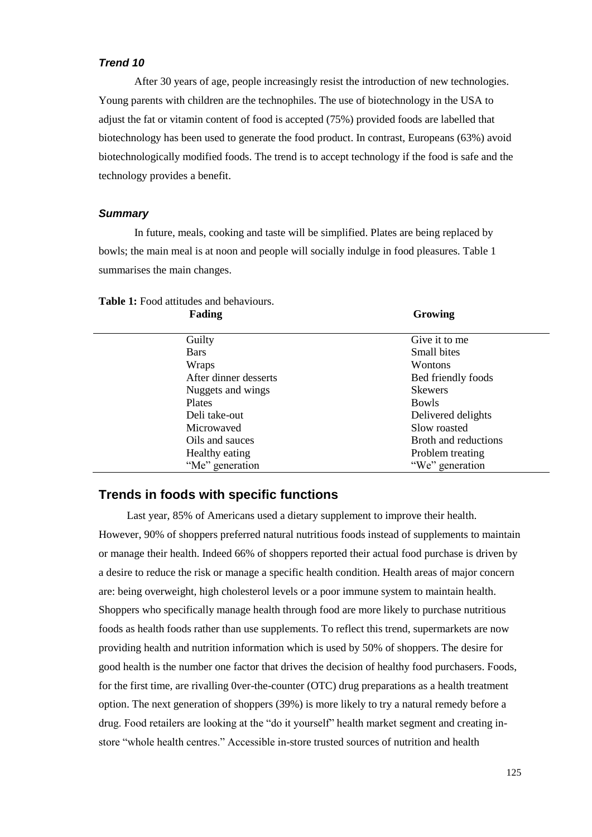### *Trend 10*

After 30 years of age, people increasingly resist the introduction of new technologies. Young parents with children are the technophiles. The use of biotechnology in the USA to adjust the fat or vitamin content of food is accepted (75%) provided foods are labelled that biotechnology has been used to generate the food product. In contrast, Europeans (63%) avoid biotechnologically modified foods. The trend is to accept technology if the food is safe and the technology provides a benefit.

#### *Summary*

In future, meals, cooking and taste will be simplified. Plates are being replaced by bowls; the main meal is at noon and people will socially indulge in food pleasures. Table 1 summarises the main changes.

| Fading                | Growing<br>Give it to me |  |
|-----------------------|--------------------------|--|
| Guilty                |                          |  |
| <b>Bars</b>           | Small bites              |  |
| Wraps                 | Wontons                  |  |
| After dinner desserts | Bed friendly foods       |  |
| Nuggets and wings     | <b>Skewers</b>           |  |
| <b>Plates</b>         | <b>Bowls</b>             |  |
| Deli take-out         | Delivered delights       |  |
| Microwaved            | Slow roasted             |  |
| Oils and sauces       | Broth and reductions     |  |
| Healthy eating        | Problem treating         |  |
| "Me" generation       | "We" generation          |  |

# **Table 1:** Food attitudes and behaviours.

# **Trends in foods with specific functions**

Last year, 85% of Americans used a dietary supplement to improve their health. However, 90% of shoppers preferred natural nutritious foods instead of supplements to maintain or manage their health. Indeed 66% of shoppers reported their actual food purchase is driven by a desire to reduce the risk or manage a specific health condition. Health areas of major concern are: being overweight, high cholesterol levels or a poor immune system to maintain health. Shoppers who specifically manage health through food are more likely to purchase nutritious foods as health foods rather than use supplements. To reflect this trend, supermarkets are now providing health and nutrition information which is used by 50% of shoppers. The desire for good health is the number one factor that drives the decision of healthy food purchasers. Foods, for the first time, are rivalling 0ver-the-counter (OTC) drug preparations as a health treatment option. The next generation of shoppers (39%) is more likely to try a natural remedy before a drug. Food retailers are looking at the "do it yourself" health market segment and creating instore "whole health centres." Accessible in-store trusted sources of nutrition and health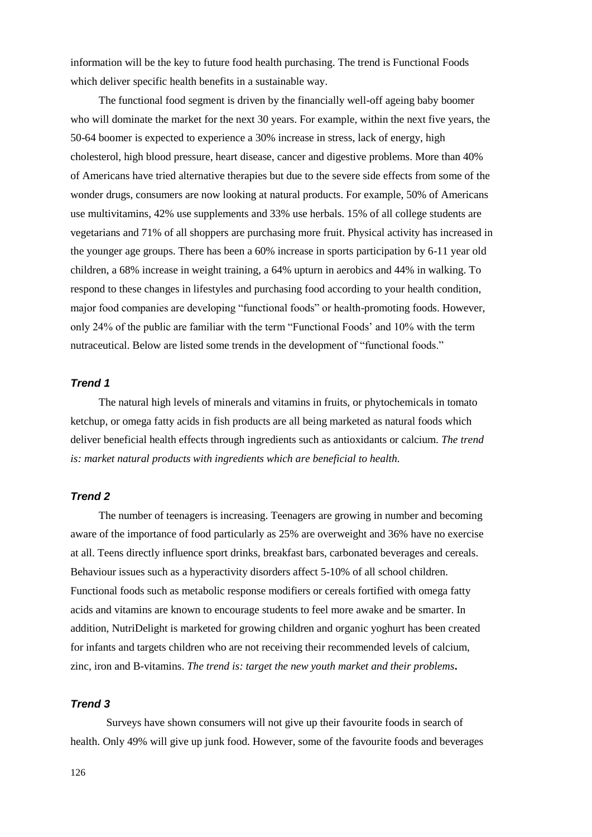information will be the key to future food health purchasing. The trend is Functional Foods which deliver specific health benefits in a sustainable way.

The functional food segment is driven by the financially well-off ageing baby boomer who will dominate the market for the next 30 years. For example, within the next five years, the 50-64 boomer is expected to experience a 30% increase in stress, lack of energy, high cholesterol, high blood pressure, heart disease, cancer and digestive problems. More than 40% of Americans have tried alternative therapies but due to the severe side effects from some of the wonder drugs, consumers are now looking at natural products. For example, 50% of Americans use multivitamins, 42% use supplements and 33% use herbals. 15% of all college students are vegetarians and 71% of all shoppers are purchasing more fruit. Physical activity has increased in the younger age groups. There has been a 60% increase in sports participation by 6-11 year old children, a 68% increase in weight training, a 64% upturn in aerobics and 44% in walking. To respond to these changes in lifestyles and purchasing food according to your health condition, major food companies are developing "functional foods" or health-promoting foods. However, only 24% of the public are familiar with the term "Functional Foods" and 10% with the term nutraceutical. Below are listed some trends in the development of "functional foods."

#### *Trend 1*

The natural high levels of minerals and vitamins in fruits, or phytochemicals in tomato ketchup, or omega fatty acids in fish products are all being marketed as natural foods which deliver beneficial health effects through ingredients such as antioxidants or calcium. *The trend is: market natural products with ingredients which are beneficial to health.*

## *Trend 2*

The number of teenagers is increasing. Teenagers are growing in number and becoming aware of the importance of food particularly as 25% are overweight and 36% have no exercise at all. Teens directly influence sport drinks, breakfast bars, carbonated beverages and cereals. Behaviour issues such as a hyperactivity disorders affect 5-10% of all school children. Functional foods such as metabolic response modifiers or cereals fortified with omega fatty acids and vitamins are known to encourage students to feel more awake and be smarter. In addition, NutriDelight is marketed for growing children and organic yoghurt has been created for infants and targets children who are not receiving their recommended levels of calcium, zinc, iron and B-vitamins. *The trend is: target the new youth market and their problems***.**

#### *Trend 3*

Surveys have shown consumers will not give up their favourite foods in search of health. Only 49% will give up junk food. However, some of the favourite foods and beverages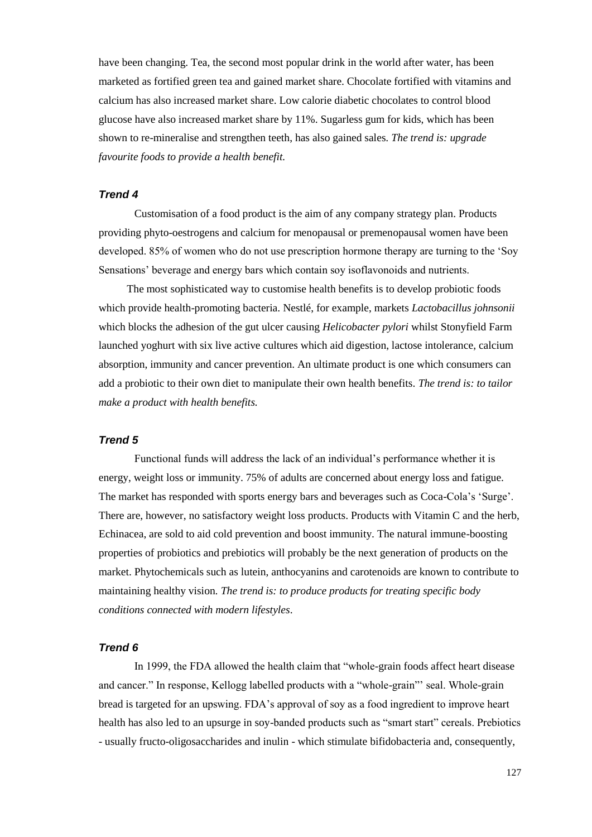have been changing. Tea, the second most popular drink in the world after water, has been marketed as fortified green tea and gained market share. Chocolate fortified with vitamins and calcium has also increased market share. Low calorie diabetic chocolates to control blood glucose have also increased market share by 11%. Sugarless gum for kids, which has been shown to re-mineralise and strengthen teeth, has also gained sales*. The trend is: upgrade favourite foods to provide a health benefit.*

#### *Trend 4*

Customisation of a food product is the aim of any company strategy plan. Products providing phyto-oestrogens and calcium for menopausal or premenopausal women have been developed. 85% of women who do not use prescription hormone therapy are turning to the "Soy Sensations' beverage and energy bars which contain soy isoflavonoids and nutrients.

The most sophisticated way to customise health benefits is to develop probiotic foods which provide health-promoting bacteria. Nestlé, for example, markets *Lactobacillus johnsonii* which blocks the adhesion of the gut ulcer causing *Helicobacter pylori* whilst Stonyfield Farm launched yoghurt with six live active cultures which aid digestion, lactose intolerance, calcium absorption, immunity and cancer prevention. An ultimate product is one which consumers can add a probiotic to their own diet to manipulate their own health benefits. *The trend is: to tailor make a product with health benefits.*

#### *Trend 5*

Functional funds will address the lack of an individual"s performance whether it is energy, weight loss or immunity. 75% of adults are concerned about energy loss and fatigue. The market has responded with sports energy bars and beverages such as Coca-Cola's 'Surge'. There are, however, no satisfactory weight loss products. Products with Vitamin C and the herb, Echinacea, are sold to aid cold prevention and boost immunity. The natural immune-boosting properties of probiotics and prebiotics will probably be the next generation of products on the market. Phytochemicals such as lutein, anthocyanins and carotenoids are known to contribute to maintaining healthy vision*. The trend is: to produce products for treating specific body conditions connected with modern lifestyles*.

### *Trend 6*

In 1999, the FDA allowed the health claim that "whole-grain foods affect heart disease and cancer." In response, Kellogg labelled products with a "whole-grain"" seal. Whole-grain bread is targeted for an upswing. FDA"s approval of soy as a food ingredient to improve heart health has also led to an upsurge in soy-banded products such as "smart start" cereals. Prebiotics - usually fructo-oligosaccharides and inulin - which stimulate bifidobacteria and, consequently,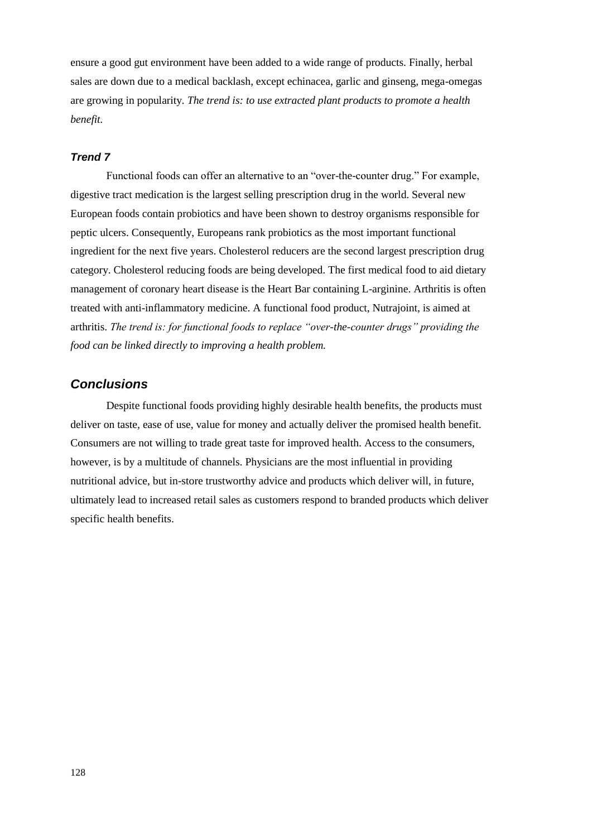ensure a good gut environment have been added to a wide range of products. Finally, herbal sales are down due to a medical backlash, except echinacea, garlic and ginseng, mega-omegas are growing in popularity*. The trend is: to use extracted plant products to promote a health benefit.*

#### *Trend 7*

Functional foods can offer an alternative to an "over-the-counter drug." For example, digestive tract medication is the largest selling prescription drug in the world. Several new European foods contain probiotics and have been shown to destroy organisms responsible for peptic ulcers. Consequently, Europeans rank probiotics as the most important functional ingredient for the next five years. Cholesterol reducers are the second largest prescription drug category. Cholesterol reducing foods are being developed. The first medical food to aid dietary management of coronary heart disease is the Heart Bar containing L-arginine. Arthritis is often treated with anti-inflammatory medicine. A functional food product, Nutrajoint, is aimed at arthritis. *The trend is: for functional foods to replace "over-the-counter drugs" providing the food can be linked directly to improving a health problem.*

### *Conclusions*

Despite functional foods providing highly desirable health benefits, the products must deliver on taste, ease of use, value for money and actually deliver the promised health benefit. Consumers are not willing to trade great taste for improved health. Access to the consumers, however, is by a multitude of channels. Physicians are the most influential in providing nutritional advice, but in-store trustworthy advice and products which deliver will, in future, ultimately lead to increased retail sales as customers respond to branded products which deliver specific health benefits.